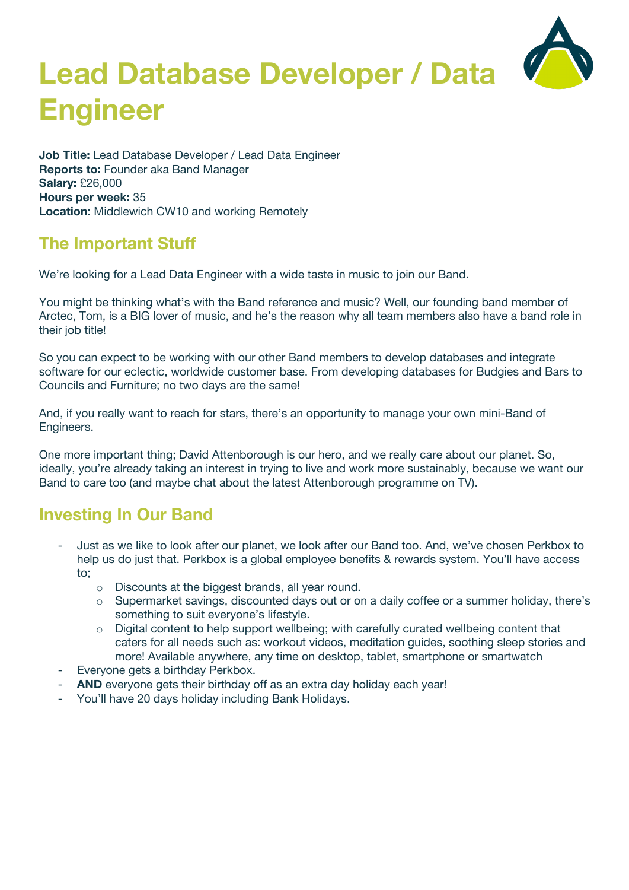# **Lead Database Developer / Data Engineer**



**Job Title:** Lead Database Developer / Lead Data Engineer **Reports to:** Founder aka Band Manager **Salary:** £26,000 **Hours per week:** 35 **Location:** Middlewich CW10 and working Remotely

#### **The Important Stuff**

We're looking for a Lead Data Engineer with a wide taste in music to join our Band.

You might be thinking what's with the Band reference and music? Well, our founding band member of Arctec, Tom, is a BIG lover of music, and he's the reason why all team members also have a band role in their job title!

So you can expect to be working with our other Band members to develop databases and integrate software for our eclectic, worldwide customer base. From developing databases for Budgies and Bars to Councils and Furniture; no two days are the same!

And, if you really want to reach for stars, there's an opportunity to manage your own mini-Band of Engineers.

One more important thing; David Attenborough is our hero, and we really care about our planet. So, ideally, you're already taking an interest in trying to live and work more sustainably, because we want our Band to care too (and maybe chat about the latest Attenborough programme on TV).

### **Investing In Our Band**

- Just as we like to look after our planet, we look after our Band too. And, we've chosen Perkbox to help us do just that. Perkbox is a global employee benefits & rewards system. You'll have access to;
	- o Discounts at the biggest brands, all year round.
	- $\circ$  Supermarket savings, discounted days out or on a daily coffee or a summer holiday, there's something to suit everyone's lifestyle.
	- $\circ$  Digital content to help support wellbeing; with carefully curated wellbeing content that caters for all needs such as: workout videos, meditation guides, soothing sleep stories and more! Available anywhere, any time on desktop, tablet, smartphone or smartwatch
- Everyone gets a birthday Perkbox.
- **AND** everyone gets their birthday off as an extra day holiday each year!
- You'll have 20 days holiday including Bank Holidays.